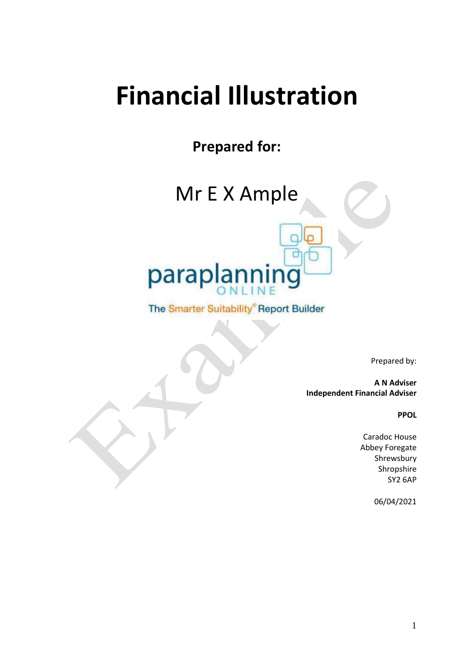# **Financial Illustration**

**Prepared for:**

Mr E X Ample



The Smarter Suitability® Report Builder

Prepared by:

**A N Adviser Independent Financial Adviser**

**PPOL**

Caradoc House Abbey Foregate Shrewsbury Shropshire SY2 6AP

06/04/2021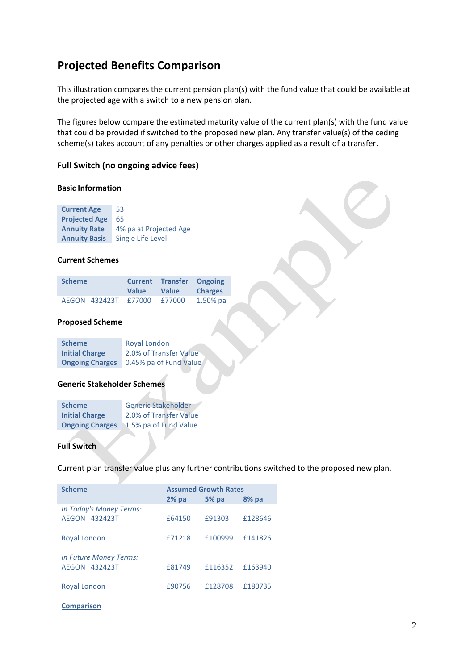# **Projected Benefits Comparison**

This illustration compares the current pension plan(s) with the fund value that could be available at the projected age with a switch to a new pension plan.

The figures below compare the estimated maturity value of the current plan(s) with the fund value that could be provided if switched to the proposed new plan. Any transfer value(s) of the ceding scheme(s) takes account of any penalties or other charges applied as a result of a transfer.

#### **Full Switch (no ongoing advice fees)**

#### **Basic Information**

| <b>Current Age</b>   | 53                     |
|----------------------|------------------------|
| <b>Projected Age</b> | 65                     |
| <b>Annuity Rate</b>  | 4% pa at Projected Age |
| <b>Annuity Basis</b> | Single Life Level      |

#### **Current Schemes**

| <b>Scheme</b> |                             | <b>Value</b> | <b>Current Transfer Ongoing</b><br><b>Value</b> | <b>Charges</b> |
|---------------|-----------------------------|--------------|-------------------------------------------------|----------------|
|               | AEGON 432423T £77000 £77000 |              |                                                 | $1.50\%$ pa    |

#### **Proposed Scheme**

| <b>Scheme</b>          | <b>Royal London</b>    |
|------------------------|------------------------|
| <b>Initial Charge</b>  | 2.0% of Transfer Value |
| <b>Ongoing Charges</b> | 0.45% pa of Fund Value |

#### **Generic Stakeholder Schemes**

| <b>Scheme</b>          | <b>Generic Stakeholder</b> |
|------------------------|----------------------------|
| <b>Initial Charge</b>  | 2.0% of Transfer Value     |
| <b>Ongoing Charges</b> | 1.5% pa of Fund Value      |

#### **Full Switch**

Current plan transfer value plus any further contributions switched to the proposed new plan.

| <b>Scheme</b>                                     |         | <b>Assumed Growth Rates</b> |         |
|---------------------------------------------------|---------|-----------------------------|---------|
|                                                   | $2%$ pa | $5%$ pa                     | $8%$ pa |
| In Today's Money Terms:<br>AEGON<br>432423T       | £64150  | £91303                      | £128646 |
| Royal London                                      | f71218  | £100999                     | £141826 |
| <b>In Future Money Terms:</b><br>432423T<br>AFGON | £81749  | £116352                     | £163940 |
| Royal London                                      | £90756  | £128708                     | £180735 |

#### **Comparison**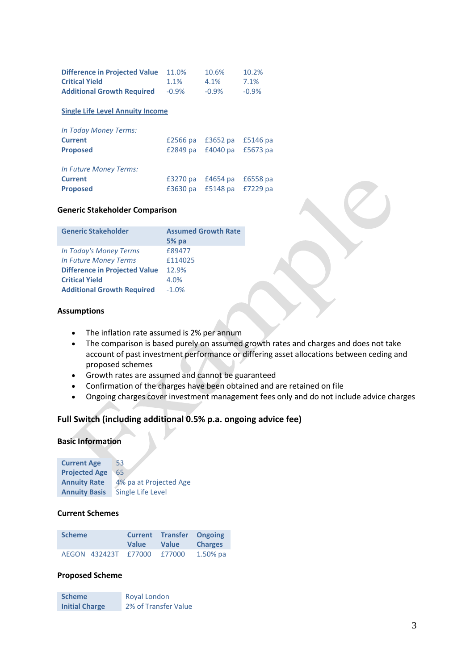| <b>Difference in Projected Value</b> | 11.0%    | 10.6%    | 10.2%    |
|--------------------------------------|----------|----------|----------|
| <b>Critical Yield</b>                | $1.1\%$  | $4.1\%$  | 7.1%     |
| <b>Additional Growth Required</b>    | $-0.9\%$ | $-0.9\%$ | $-0.9\%$ |

#### **Single Life Level Annuity Income**

| <b>In Today Money Terms:</b> |                   |                            |          |
|------------------------------|-------------------|----------------------------|----------|
| <b>Current</b>               |                   | £2566 pa £3652 pa £5146 pa |          |
| <b>Proposed</b>              |                   | £2849 pa £4040 pa £5673 pa |          |
| In Future Money Terms:       |                   |                            |          |
| <b>Current</b>               |                   | £3270 pa £4654 pa          | £6558 pa |
| <b>Proposed</b>              | £3630 pa £5148 pa |                            | £7229 pa |

#### **Generic Stakeholder Comparison**

| <b>Generic Stakeholder</b>           | <b>Assumed Growth Rate</b> |
|--------------------------------------|----------------------------|
|                                      | $5%$ pa                    |
| In Today's Money Terms               | £89477                     |
| <b>In Future Money Terms</b>         | £114025                    |
| <b>Difference in Projected Value</b> | 12.9%                      |
| <b>Critical Yield</b>                | 4.0%                       |
| <b>Additional Growth Required</b>    | $-1.0%$                    |

#### **Assumptions**

- The inflation rate assumed is 2% per annum
- The comparison is based purely on assumed growth rates and charges and does not take account of past investment performance or differing asset allocations between ceding and proposed schemes
- Growth rates are assumed and cannot be guaranteed
- Confirmation of the charges have been obtained and are retained on file
- Ongoing charges cover investment management fees only and do not include advice charges

#### **Full Switch (including additional 0.5% p.a. ongoing advice fee)**

#### **Basic Information**

| <b>Current Age</b>   | 53                     |
|----------------------|------------------------|
| <b>Projected Age</b> | 65                     |
| <b>Annuity Rate</b>  | 4% pa at Projected Age |
| <b>Annuity Basis</b> | Single Life Level      |

#### **Current Schemes**

| <b>Scheme</b> |                      | <b>Current</b><br><b>Value</b> | <b>Transfer Ongoing</b><br><b>Value</b> | <b>Charges</b> |
|---------------|----------------------|--------------------------------|-----------------------------------------|----------------|
|               | AEGON 432423T £77000 |                                | £77000                                  | $1.50\%$ pa    |

#### **Proposed Scheme**

**Scheme** Royal London **Initial Charge** 2% of Transfer Value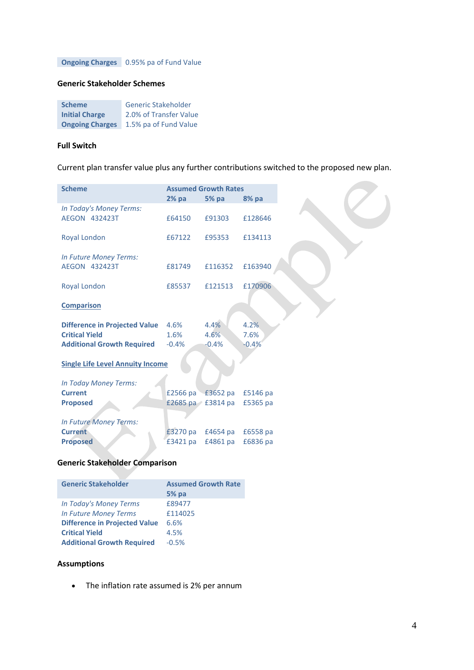**Ongoing Charges** 0.95% pa of Fund Value

#### **Generic Stakeholder Schemes**

| <b>Scheme</b>          | <b>Generic Stakeholder</b> |
|------------------------|----------------------------|
| <b>Initial Charge</b>  | 2.0% of Transfer Value     |
| <b>Ongoing Charges</b> | 1.5% pa of Fund Value      |

#### **Full Switch**

Current plan transfer value plus any further contributions switched to the proposed new plan.

| <b>Scheme</b>                            |          | <b>Assumed Growth Rates</b> |          |
|------------------------------------------|----------|-----------------------------|----------|
|                                          | $2%$ pa  | <b>5% pa</b>                | 8% pa    |
| In Today's Money Terms:                  |          |                             |          |
| AEGON 432423T                            | £64150   | £91303                      | £128646  |
|                                          |          |                             |          |
| Royal London                             | £67122   | £95353                      | £134113  |
|                                          |          |                             |          |
| In Future Money Terms:                   |          |                             |          |
| <b>AEGON 432423T</b>                     | £81749   | £116352                     | £163940  |
|                                          |          |                             |          |
| Royal London                             | £85537   | £121513                     | £170906  |
|                                          |          |                             |          |
| <b>Comparison</b>                        |          |                             |          |
|                                          |          |                             |          |
| <b>Difference in Projected Value</b>     | 4.6%     | 4.4%                        | 4.2%     |
| <b>Critical Yield</b>                    | 1.6%     | 4.6%                        | 7.6%     |
| <b>Additional Growth Required</b>        | $-0.4%$  | $-0.4%$                     | $-0.4%$  |
|                                          |          |                             |          |
| <b>Single Life Level Annuity Income</b>  |          |                             |          |
|                                          |          |                             |          |
| In Today Money Terms:<br><b>Current</b>  |          |                             |          |
|                                          |          | £2566 pa £3652 pa           | £5146 pa |
| <b>Proposed</b>                          |          | £2685 pa $\geq$ £3814 pa    | £5365 pa |
|                                          |          |                             |          |
| In Future Money Terms:<br><b>Current</b> |          | £4654 pa                    |          |
|                                          | £3270 pa |                             | £6558 pa |
| <b>Proposed</b>                          | £3421 pa | £4861 pa                    | £6836 pa |

### **Generic Stakeholder Comparison**

| <b>Generic Stakeholder</b>           | <b>Assumed Growth Rate</b><br>$5%$ pa |
|--------------------------------------|---------------------------------------|
| In Today's Money Terms               | £89477                                |
| <b>In Future Money Terms</b>         | £114025                               |
| <b>Difference in Projected Value</b> | 6.6%                                  |
| <b>Critical Yield</b>                | 4.5%                                  |
| <b>Additional Growth Required</b>    | $-0.5%$                               |

## **Assumptions**

• The inflation rate assumed is 2% per annum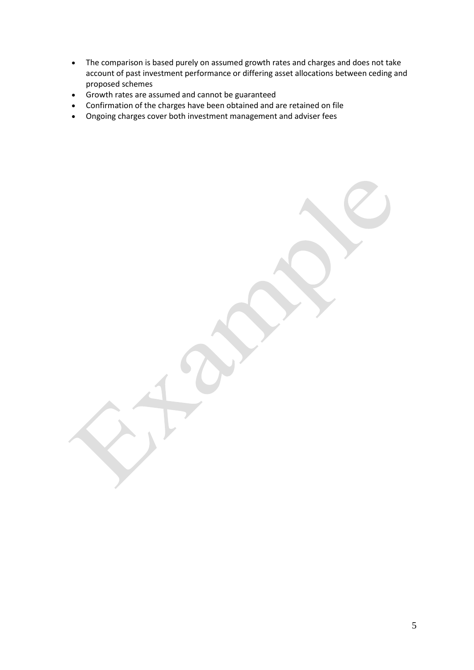- The comparison is based purely on assumed growth rates and charges and does not take account of past investment performance or differing asset allocations between ceding and proposed schemes
- Growth rates are assumed and cannot be guaranteed
- Confirmation of the charges have been obtained and are retained on file
- Ongoing charges cover both investment management and adviser fees